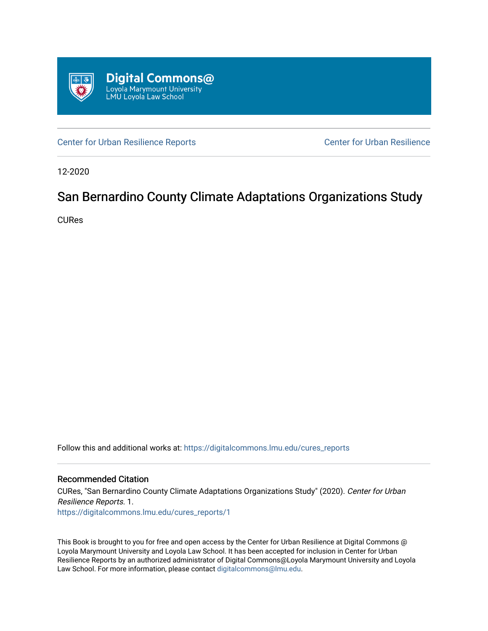

[Center for Urban Resilience Reports](https://digitalcommons.lmu.edu/cures_reports) Center for Urban Resilience

12-2020

## San Bernardino County Climate Adaptations Organizations Study

CURes

Follow this and additional works at: [https://digitalcommons.lmu.edu/cures\\_reports](https://digitalcommons.lmu.edu/cures_reports?utm_source=digitalcommons.lmu.edu%2Fcures_reports%2F1&utm_medium=PDF&utm_campaign=PDFCoverPages) 

## Recommended Citation

CURes, "San Bernardino County Climate Adaptations Organizations Study" (2020). Center for Urban Resilience Reports. 1. [https://digitalcommons.lmu.edu/cures\\_reports/1](https://digitalcommons.lmu.edu/cures_reports/1?utm_source=digitalcommons.lmu.edu%2Fcures_reports%2F1&utm_medium=PDF&utm_campaign=PDFCoverPages) 

This Book is brought to you for free and open access by the Center for Urban Resilience at Digital Commons @ Loyola Marymount University and Loyola Law School. It has been accepted for inclusion in Center for Urban Resilience Reports by an authorized administrator of Digital Commons@Loyola Marymount University and Loyola Law School. For more information, please contact [digitalcommons@lmu.edu.](mailto:digitalcommons@lmu.edu)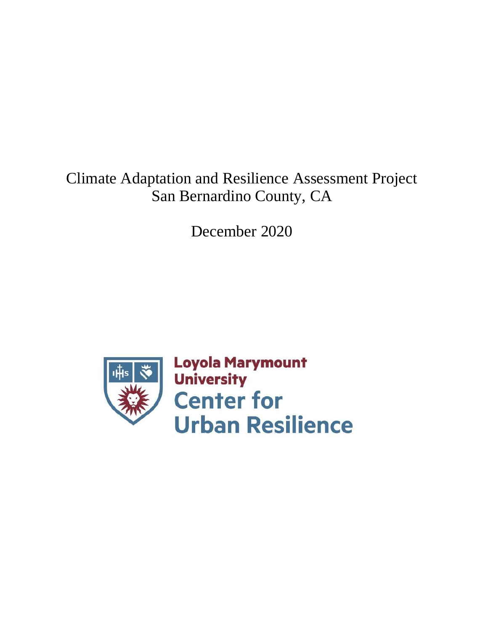## Climate Adaptation and Resilience Assessment Project San Bernardino County, CA

December 2020

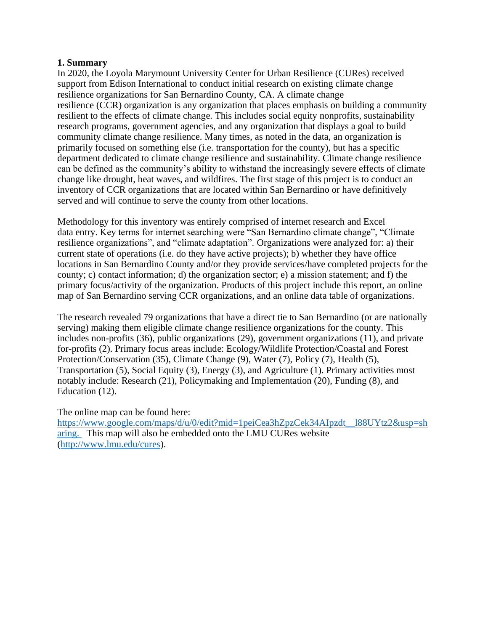## **1. Summary**

In 2020, the Loyola Marymount University Center for Urban Resilience (CURes) received support from Edison International to conduct initial research on existing climate change resilience organizations for San Bernardino County, CA. A climate change resilience (CCR) organization is any organization that places emphasis on building a community resilient to the effects of climate change. This includes social equity nonprofits, sustainability research programs, government agencies, and any organization that displays a goal to build community climate change resilience. Many times, as noted in the data, an organization is primarily focused on something else (i.e. transportation for the county), but has a specific department dedicated to climate change resilience and sustainability. Climate change resilience can be defined as the community's ability to withstand the increasingly severe effects of climate change like drought, heat waves, and wildfires. The first stage of this project is to conduct an inventory of CCR organizations that are located within San Bernardino or have definitively served and will continue to serve the county from other locations.

Methodology for this inventory was entirely comprised of internet research and Excel data entry. Key terms for internet searching were "San Bernardino climate change", "Climate resilience organizations", and "climate adaptation". Organizations were analyzed for: a) their current state of operations (i.e. do they have active projects); b) whether they have office locations in San Bernardino County and/or they provide services/have completed projects for the county; c) contact information; d) the organization sector; e) a mission statement; and f) the primary focus/activity of the organization. Products of this project include this report, an online map of San Bernardino serving CCR organizations, and an online data table of organizations.

The research revealed 79 organizations that have a direct tie to San Bernardino (or are nationally serving) making them eligible climate change resilience organizations for the county. This includes non-profits (36), public organizations (29), government organizations (11), and private for-profits (2). Primary focus areas include: Ecology/Wildlife Protection/Coastal and Forest Protection/Conservation (35), Climate Change (9), Water (7), Policy (7), Health (5), Transportation (5), Social Equity (3), Energy (3), and Agriculture (1). Primary activities most notably include: Research (21), Policymaking and Implementation (20), Funding (8), and Education (12).

The online map can be found here:

[https://www.google.com/maps/d/u/0/edit?mid=1peiCea3hZpzCek34AIpzdt\\_\\_l88UYtz2&usp=sh](https://www.google.com/maps/d/u/0/edit?mid=1peiCea3hZpzCek34AIpzdt__l88UYtz2&usp=sharing) [aring.](https://www.google.com/maps/d/u/0/edit?mid=1peiCea3hZpzCek34AIpzdt__l88UYtz2&usp=sharing) This map will also be embedded onto the LMU CURes website [\(http://www.lmu.edu/cures\)](http://www.lmu.edu/cures).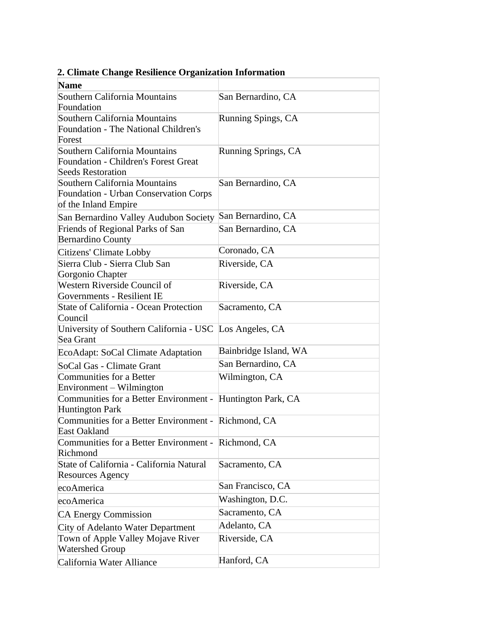| <b>Name</b>                                                                   |                       |
|-------------------------------------------------------------------------------|-----------------------|
| Southern California Mountains                                                 | San Bernardino, CA    |
| Foundation                                                                    |                       |
| Southern California Mountains                                                 | Running Spings, CA    |
| Foundation - The National Children's                                          |                       |
| Forest                                                                        |                       |
| Southern California Mountains                                                 | Running Springs, CA   |
| <b>Foundation - Children's Forest Great</b>                                   |                       |
| <b>Seeds Restoration</b>                                                      |                       |
| Southern California Mountains                                                 | San Bernardino, CA    |
| Foundation - Urban Conservation Corps                                         |                       |
| of the Inland Empire                                                          |                       |
| San Bernardino Valley Audubon Society                                         | San Bernardino, CA    |
| Friends of Regional Parks of San                                              | San Bernardino, CA    |
| <b>Bernardino County</b>                                                      |                       |
| Citizens' Climate Lobby                                                       | Coronado, CA          |
| Sierra Club - Sierra Club San                                                 | Riverside, CA         |
| Gorgonio Chapter                                                              |                       |
| Western Riverside Council of                                                  | Riverside, CA         |
| Governments - Resilient IE                                                    |                       |
| State of California - Ocean Protection                                        | Sacramento, CA        |
| Council                                                                       |                       |
| University of Southern California - USC Los Angeles, CA<br>Sea Grant          |                       |
|                                                                               | Bainbridge Island, WA |
| EcoAdapt: SoCal Climate Adaptation                                            |                       |
| SoCal Gas - Climate Grant                                                     | San Bernardino, CA    |
| Communities for a Better                                                      | Wilmington, CA        |
| Environment – Wilmington                                                      |                       |
| Communities for a Better Environment - Huntington Park, CA                    |                       |
| <b>Huntington Park</b><br>Communities for a Better Environment - Richmond, CA |                       |
| East Oakland                                                                  |                       |
| Communities for a Better Environment - Richmond, CA                           |                       |
| Richmond                                                                      |                       |
| State of California - California Natural                                      | Sacramento, CA        |
| <b>Resources Agency</b>                                                       |                       |
| ecoAmerica                                                                    | San Francisco, CA     |
| ecoAmerica                                                                    | Washington, D.C.      |
| <b>CA Energy Commission</b>                                                   | Sacramento, CA        |
|                                                                               | Adelanto, CA          |
| City of Adelanto Water Department                                             | Riverside, CA         |
| Town of Apple Valley Mojave River<br><b>Watershed Group</b>                   |                       |
| California Water Alliance                                                     | Hanford, CA           |

**2. Climate Change Resilience Organization Information**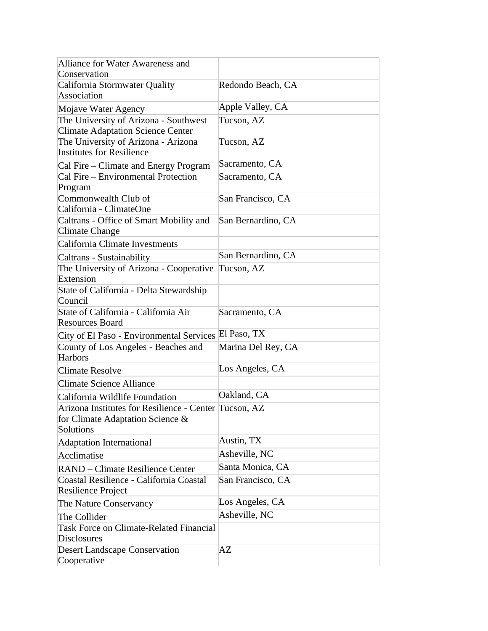| Alliance for Water Awareness and                                                                       |                    |
|--------------------------------------------------------------------------------------------------------|--------------------|
| Conservation                                                                                           |                    |
| California Stormwater Quality<br>Association                                                           | Redondo Beach, CA  |
| Mojave Water Agency                                                                                    | Apple Valley, CA   |
| The University of Arizona - Southwest                                                                  | Tucson, AZ         |
| <b>Climate Adaptation Science Center</b>                                                               |                    |
| The University of Arizona - Arizona                                                                    | Tucson, AZ         |
| Institutes for Resilience                                                                              |                    |
| Cal Fire – Climate and Energy Program                                                                  | Sacramento, CA     |
| Cal Fire – Environmental Protection<br>Program                                                         | Sacramento, CA     |
| Commonwealth Club of                                                                                   | San Francisco, CA  |
| California - ClimateOne                                                                                |                    |
| Caltrans - Office of Smart Mobility and<br>Climate Change                                              | San Bernardino, CA |
| California Climate Investments                                                                         |                    |
| Caltrans - Sustainability                                                                              | San Bernardino, CA |
| The University of Arizona - Cooperative<br>Extension                                                   | Tucson, AZ         |
| State of California - Delta Stewardship<br>Council                                                     |                    |
| State of California - California Air<br><b>Resources Board</b>                                         | Sacramento, CA     |
| City of El Paso - Environmental Services                                                               | El Paso, TX        |
| County of Los Angeles - Beaches and<br><b>Harbors</b>                                                  | Marina Del Rey, CA |
| <b>Climate Resolve</b>                                                                                 | Los Angeles, CA    |
| Climate Science Alliance                                                                               |                    |
| California Wildlife Foundation                                                                         | Oakland, CA        |
| Arizona Institutes for Resilience - Center Tucson, AZ<br>for Climate Adaptation Science &<br>Solutions |                    |
| Adaptation International                                                                               | Austin, TX         |
| Acclimatise                                                                                            | Asheville, NC      |
| RAND – Climate Resilience Center                                                                       | Santa Monica, CA   |
| Coastal Resilience - California Coastal<br>Resilience Project                                          | San Francisco, CA  |
| The Nature Conservancy                                                                                 | Los Angeles, CA    |
| The Collider                                                                                           | Asheville, NC      |
| <b>Task Force on Climate-Related Financial</b><br><b>Disclosures</b>                                   |                    |
| <b>Desert Landscape Conservation</b><br>Cooperative                                                    | AZ                 |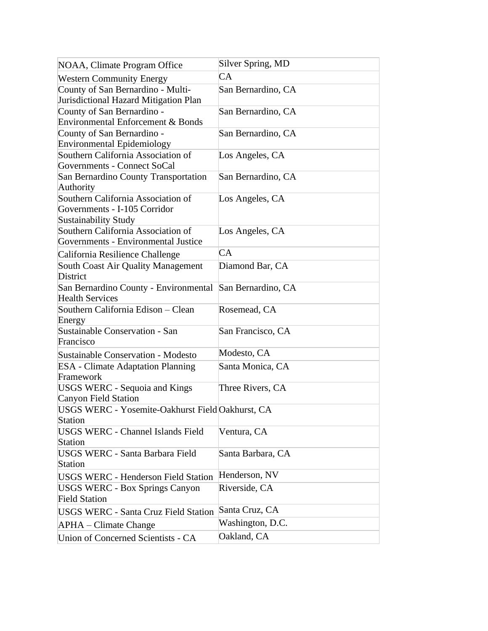| NOAA, Climate Program Office                                         | Silver Spring, MD  |
|----------------------------------------------------------------------|--------------------|
|                                                                      | <b>CA</b>          |
| <b>Western Community Energy</b><br>County of San Bernardino - Multi- | San Bernardino, CA |
| Jurisdictional Hazard Mitigation Plan                                |                    |
| County of San Bernardino -                                           | San Bernardino, CA |
| Environmental Enforcement & Bonds                                    |                    |
| County of San Bernardino -                                           | San Bernardino, CA |
| <b>Environmental Epidemiology</b>                                    |                    |
| Southern California Association of                                   | Los Angeles, CA    |
| Governments - Connect SoCal                                          |                    |
| San Bernardino County Transportation                                 | San Bernardino, CA |
| Authority                                                            |                    |
| Southern California Association of                                   | Los Angeles, CA    |
| Governments - I-105 Corridor                                         |                    |
| <b>Sustainability Study</b>                                          |                    |
| Southern California Association of                                   | Los Angeles, CA    |
| Governments - Environmental Justice                                  |                    |
| California Resilience Challenge                                      | CA                 |
| South Coast Air Quality Management                                   | Diamond Bar, CA    |
| District                                                             |                    |
| San Bernardino County - Environmental                                | San Bernardino, CA |
| <b>Health Services</b>                                               |                    |
| Southern California Edison - Clean<br>Energy                         | Rosemead, CA       |
| Sustainable Conservation - San                                       | San Francisco, CA  |
| Francisco                                                            |                    |
| <b>Sustainable Conservation - Modesto</b>                            | Modesto, CA        |
| <b>ESA</b> - Climate Adaptation Planning                             | Santa Monica, CA   |
| Framework                                                            |                    |
| <b>USGS WERC - Sequoia and Kings</b>                                 | Three Rivers, CA   |
| <b>Canyon Field Station</b>                                          |                    |
| USGS WERC - Yosemite-Oakhurst Field Oakhurst, CA                     |                    |
| <b>Station</b>                                                       |                    |
| <b>USGS WERC - Channel Islands Field</b>                             | Ventura, CA        |
| <b>Station</b>                                                       |                    |
| <b>USGS WERC - Santa Barbara Field</b>                               | Santa Barbara, CA  |
| <b>Station</b>                                                       |                    |
| <b>USGS WERC - Henderson Field Station</b>                           | Henderson, NV      |
| <b>USGS WERC - Box Springs Canyon</b>                                | Riverside, CA      |
| <b>Field Station</b>                                                 |                    |
| <b>USGS WERC - Santa Cruz Field Station</b>                          | Santa Cruz, CA     |
| APHA – Climate Change                                                | Washington, D.C.   |
| Union of Concerned Scientists - CA                                   | Oakland, CA        |